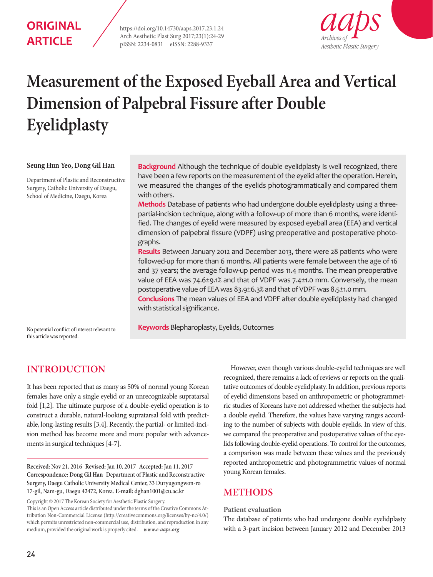## **ORIGINAL ARTICLE**

https://doi.org/10.14730/aaps.2017.23.1.24 Arch Aesthetic Plast Surg 2017;23(1):24-29 pISSN: 2234-0831 eISSN: 2288-9337



# **Measurement of the Exposed Eyeball Area and Vertical Dimension of Palpebral Fissure after Double Eyelidplasty**

#### **Seung Hun Yeo, Dong Gil Han**

Department of Plastic and Reconstructive Surgery, Catholic University of Daegu, School of Medicine, Daegu, Korea

**Background** Although the technique of double eyelidplasty is well recognized, there have been a few reports on the measurement of the eyelid after the operation. Herein, we measured the changes of the eyelids photogrammatically and compared them with others.

**Methods** Database of patients who had undergone double eyelidplasty using a threepartial-incision technique, along with a follow-up of more than 6 months, were identified. The changes of eyelid were measured by exposed eyeball area (EEA) and vertical dimension of palpebral fissure (VDPF) using preoperative and postoperative photographs.

**Results** Between January 2012 and December 2013, there were 28 patients who were followed-up for more than 6 months. All patients were female between the age of 16 and 37 years; the average follow-up period was 11.4 months. The mean preoperative value of EEA was 74.6±9.1% and that of VDPF was 7.4±1.0 mm. Conversely, the mean postoperative value of EEA was 83.9±6.3% and that of VDPF was 8.5±1.0 mm.

**Conclusions** The mean values of EEA and VDPF after double eyelidplasty had changed with statistical significance.

No potential conflict of interest relevant to **Keywords** Blepharoplasty, Eyelids, Outcomes

this article was reported.

## **INTRODUCTION**

It has been reported that as many as 50% of normal young Korean females have only a single eyelid or an unrecognizable supratarsal fold [1,2]. The ultimate purpose of a double-eyelid operation is to construct a durable, natural-looking supratarsal fold with predictable, long-lasting results [3,4]. Recently, the partial- or limited-incision method has become more and more popular with advancements in surgical techniques [4-7].

**Received:** Nov 21, 2016 **Revised:** Jan 10, 2017 **Accepted:** Jan 11, 2017 **Correspondence: Dong Gil Han** Department of Plastic and Reconstructive Surgery, Daegu Catholic University Medical Center, 33 Duryugongwon-ro 17-gil, Nam-gu, Daegu 42472, Korea. **E-mail:** dghan1001@cu.ac.kr

Copyright © 2017 The Korean Society for Aesthetic Plastic Surgery.

This is an Open Access article distributed under the terms of the Creative Commons Attribution Non-Commercial License (http://creativecommons.org/licenses/by-nc/4.0/) which permits unrestricted non-commercial use, distribution, and reproduction in any medium, provided the original work is properly cited. *www.e-aaps.org* 

However, even though various double-eyelid techniques are well recognized, there remains a lack of reviews or reports on the qualitative outcomes of double eyelidplasty. In addition, previous reports of eyelid dimensions based on anthropometric or photogrammetric studies of Koreans have not addressed whether the subjects had a double eyelid. Therefore, the values have varying ranges according to the number of subjects with double eyelids. In view of this, we compared the preoperative and postoperative values of the eyelids following double-eyelid operations. To control for the outcomes, a comparison was made between these values and the previously reported anthropometric and photogrammetric values of normal young Korean females.

## **METHODS**

#### **Patient evaluation**

The database of patients who had undergone double eyelidplasty with a 3-part incision between January 2012 and December 2013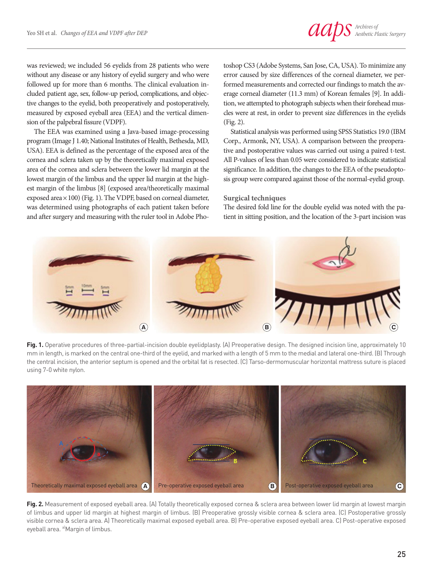was reviewed; we included 56 eyelids from 28 patients who were without any disease or any history of eyelid surgery and who were followed up for more than 6 months. The clinical evaluation included patient age, sex, follow-up period, complications, and objective changes to the eyelid, both preoperatively and postoperatively, measured by exposed eyeball area (EEA) and the vertical dimension of the palpebral fissure (VDPF).

The EEA was examined using a Java-based image-processing program (Image J 1.40; National Institutes of Health, Bethesda, MD, USA). EEA is defined as the percentage of the exposed area of the cornea and sclera taken up by the theoretically maximal exposed area of the cornea and sclera between the lower lid margin at the lowest margin of the limbus and the upper lid margin at the highest margin of the limbus [8] (exposed area/theoretically maximal exposed area×100) (Fig. 1). The VDPF, based on corneal diameter, was determined using photographs of each patient taken before and after surgery and measuring with the ruler tool in Adobe Photoshop CS3 (Adobe Systems, San Jose, CA, USA). To minimize any error caused by size differences of the corneal diameter, we performed measurements and corrected our findings to match the average corneal diameter (11.3 mm) of Korean females [9]. In addition, we attempted to photograph subjects when their forehead muscles were at rest, in order to prevent size differences in the eyelids (Fig. 2).

Statistical analysis was performed using SPSS Statistics 19.0 (IBM Corp., Armonk, NY, USA). A comparison between the preoperative and postoperative values was carried out using a paired t-test. All P-values of less than 0.05 were considered to indicate statistical significance. In addition, the changes to the EEA of the pseudoptosis group were compared against those of the normal-eyelid group.

#### **Surgical techniques**

The desired fold line for the double eyelid was noted with the patient in sitting position, and the location of the 3-part incision was



**Fig. 1.** Operative procedures of three-partial-incision double eyelidplasty. (A) Preoperative design. The designed incision line, approximately 10 mm in length, is marked on the central one-third of the eyelid, and marked with a length of 5 mm to the medial and lateral one-third. (B) Through the central incision, the anterior septum is opened and the orbital fat is resected. (C) Tarso-dermomuscular horizontal mattress suture is placed using 7-0 white nylon.



**Fig. 2.** Measurement of exposed eyeball area. (A) Totally theoretically exposed cornea & sclera area between lower lid margin at lowest margin of limbus and upper lid margin at highest margin of limbus. (B) Preoperative grossly visible cornea & sclera area. (C) Postoperative grossly visible cornea & sclera area. A) Theoretically maximal exposed eyeball area. B) Pre-operative exposed eyeball area. C) Post-operative exposed eyeball area. <sup>a)</sup>Margin of limbus.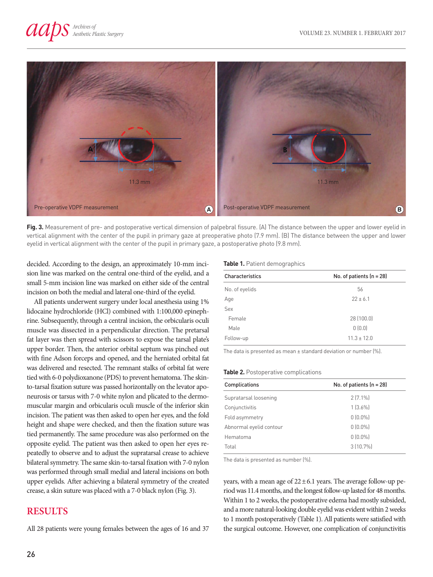

**Fig. 3.** Measurement of pre- and postoperative vertical dimension of palpebral fissure. (A) The distance between the upper and lower eyelid in vertical alignment with the center of the pupil in primary gaze at preoperative photo (7.9 mm). (B) The distance between the upper and lower eyelid in vertical alignment with the center of the pupil in primary gaze, a postoperative photo (9.8 mm).

decided. According to the design, an approximately 10-mm incision line was marked on the central one-third of the eyelid, and a small 5-mm incision line was marked on either side of the central incision on both the medial and lateral one-third of the eyelid.

All patients underwent surgery under local anesthesia using 1% lidocaine hydrochloride (HCl) combined with 1:100,000 epinephrine. Subsequently, through a central incision, the orbicularis oculi muscle was dissected in a perpendicular direction. The pretarsal fat layer was then spread with scissors to expose the tarsal plate's upper border. Then, the anterior orbital septum was pinched out with fine Adson forceps and opened, and the herniated orbital fat was delivered and resected. The remnant stalks of orbital fat were tied with 6-0 polydioxanone (PDS) to prevent hematoma. The skinto-tarsal fixation suture was passed horizontally on the levator aponeurosis or tarsus with 7-0 white nylon and plicated to the dermomuscular margin and orbicularis oculi muscle of the inferior skin incision. The patient was then asked to open her eyes, and the fold height and shape were checked, and then the fixation suture was tied permanently. The same procedure was also performed on the opposite eyelid. The patient was then asked to open her eyes repeatedly to observe and to adjust the supratarsal crease to achieve bilateral symmetry. The same skin-to-tarsal fixation with 7-0 nylon was performed through small medial and lateral incisions on both upper eyelids. After achieving a bilateral symmetry of the created crease, a skin suture was placed with a 7-0 black nylon (Fig. 3).

## **RESULTS**

All 28 patients were young females between the ages of 16 and 37

#### **Table 1.** Patient demographics

| Characteristics | No. of patients $(n = 28)$ |  |
|-----------------|----------------------------|--|
| No. of eyelids  | 56                         |  |
| Age             | $22 \pm 6.1$               |  |
| Sex             |                            |  |
| Female          | 28 (100.0)                 |  |
| Male            | 0(0.0)                     |  |
| Follow-up       | $11.3 \pm 12.0$            |  |

The data is presented as mean ± standard deviation or number (%).

#### **Table 2.** Postoperative complications

| Complications           | No. of patients $(n = 28)$ |
|-------------------------|----------------------------|
| Supratarsal loosening   | $2(7.1\%)$                 |
| Conjunctivitis          | $1 [3.6\%]$                |
| Fold asymmetry          | $0 [0.0\%]$                |
| Abnormal eyelid contour | $0 [0.0\%]$                |
| Hematoma                | $0 [0.0\%]$                |
| Total                   | 3 (10.7%)                  |

The data is presented as number (%).

years, with a mean age of  $22 \pm 6.1$  years. The average follow-up period was 11.4 months, and the longest follow-up lasted for 48 months. Within 1 to 2 weeks, the postoperative edema had mostly subsided, and a more natural-looking double eyelid was evident within 2 weeks to 1 month postoperatively (Table 1). All patients were satisfied with the surgical outcome. However, one complication of conjunctivitis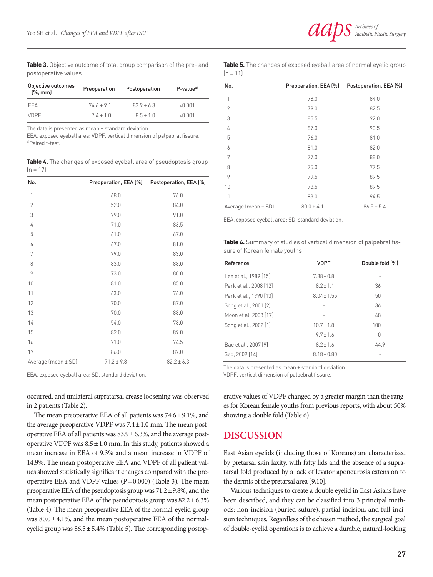

**Table 3.** Objective outcome of total group comparison of the pre- and postoperative values

| Objective outcomes<br>$[\%$ , mm | Preoperation | Postoperation  | P-value <sup>a)</sup> |
|----------------------------------|--------------|----------------|-----------------------|
| FFA                              | $746 + 91$   | $83.9 \pm 6.3$ | < 0.001               |
| <b>VDPF</b>                      | $74 + 10$    | $85 + 10$      | <0 001                |

The data is presented as mean ± standard deviation.

EEA, exposed eyeball area; VDPF, vertical dimension of palpebral fissure. a)Paired t-test.

Table 4. The changes of exposed eyeball area of pseudoptosis group  $(n = 17)$ 

| No.                     | Preoperation, EEA (%) | Postoperation, EEA (%) |
|-------------------------|-----------------------|------------------------|
| 1                       | 68.0                  | 76.0                   |
| $\overline{2}$          | 52.0                  | 84.0                   |
| 3                       | 79.0                  | 91.0                   |
| 4                       | 71.0                  | 83.5                   |
| 5                       | 61.0                  | 67.0                   |
| 6                       | 67.0                  | 81.0                   |
| 7                       | 79.0                  | 83.0                   |
| 8                       | 83.0                  | 88.0                   |
| 9                       | 73.0                  | 80.0                   |
| 10                      | 81.0                  | 85.0                   |
| 11                      | 63.0                  | 76.0                   |
| 12                      | 70.0                  | 87.0                   |
| 13                      | 70.0                  | 88.0                   |
| 14                      | 54.0                  | 78.0                   |
| 15                      | 82.0                  | 89.0                   |
| 16                      | 71.0                  | 74.5                   |
| 17                      | 86.0                  | 87.0                   |
| Average (mean $\pm$ SD) | $71.2 \pm 9.8$        | $82.2 \pm 6.3$         |

EEA, exposed eyeball area; SD, standard deviation.

occurred, and unilateral supratarsal crease loosening was observed in 2 patients (Table 2).

The mean preoperative EEA of all patients was  $74.6 \pm 9.1\%$ , and the average preoperative VDPF was  $7.4 \pm 1.0$  mm. The mean postoperative EEA of all patients was  $83.9 \pm 6.3$ %, and the average postoperative VDPF was  $8.5 \pm 1.0$  mm. In this study, patients showed a mean increase in EEA of 9.3% and a mean increase in VDPF of 14.9%. The mean postoperative EEA and VDPF of all patient values showed statistically significant changes compared with the preoperative EEA and VDPF values  $(P=0.000)$  (Table 3). The mean preoperative EEA of the pseudoptosis group was 71.2±9.8%, and the mean postoperative EEA of the pseudoptosis group was  $82.2 \pm 6.3\%$ (Table 4). The mean preoperative EEA of the normal-eyelid group was  $80.0 \pm 4.1$ %, and the mean postoperative EEA of the normaleyelid group was  $86.5 \pm 5.4\%$  (Table 5). The corresponding postop**Table 5.** The changes of exposed eyeball area of normal eyelid group  $(n = 11)$ 

| No.                 | Preoperation, EEA (%) | Postoperation, EEA (%) |
|---------------------|-----------------------|------------------------|
| 1                   | 78.0                  | 84.0                   |
| $\overline{2}$      | 79.0                  | 82.5                   |
| 3                   | 85.5                  | 92.0                   |
| 4                   | 87.0                  | 90.5                   |
| 5                   | 76.0                  | 81.0                   |
| 6                   | 81.0                  | 82.0                   |
| 7                   | 77.0                  | 88.0                   |
| 8                   | 75.0                  | 77.5                   |
| 9                   | 79.5                  | 89.5                   |
| 10                  | 78.5                  | 89.5                   |
| 11                  | 83.0                  | 94.5                   |
| Average (mean ± SD) | $80.0 \pm 4.1$        | $86.5 \pm 5.4$         |

EEA, exposed eyeball area; SD, standard deviation.

**Table 6.** Summary of studies of vertical dimension of palpebral fissure of Korean female youths

| Reference              | <b>VDPF</b>     | Double fold [%] |
|------------------------|-----------------|-----------------|
| Lee et al., 1989 [15]  | $7.88 \pm 0.8$  |                 |
| Park et al., 2008 [12] | $8.2 \pm 1.1$   | 36              |
| Park et al., 1990 [13] | $8.04 \pm 1.55$ | 50              |
| Song et al., 2001 [2]  |                 | 36              |
| Moon et al. 2003 [17]  |                 | 48              |
| Song et al., 2002 [1]  | $10.7 \pm 1.8$  | 100             |
|                        | $9.7 \pm 1.6$   | 0               |
| Bae et al., 2007 [9]   | $8.2 \pm 1.6$   | 44.9            |
| Seo. 2009 [14]         | $8.18 \pm 0.80$ |                 |

The data is presented as mean ± standard deviation.

VDPF, vertical dimension of palpebral fissure.

erative values of VDPF changed by a greater margin than the ranges for Korean female youths from previous reports, with about 50% showing a double fold (Table 6).

#### **DISCUSSION**

East Asian eyelids (including those of Koreans) are characterized by pretarsal skin laxity, with fatty lids and the absence of a supratarsal fold produced by a lack of levator aponeurosis extension to the dermis of the pretarsal area [9,10].

Various techniques to create a double eyelid in East Asians have been described, and they can be classified into 3 principal methods: non-incision (buried-suture), partial-incision, and full-incision techniques. Regardless of the chosen method, the surgical goal of double-eyelid operations is to achieve a durable, natural-looking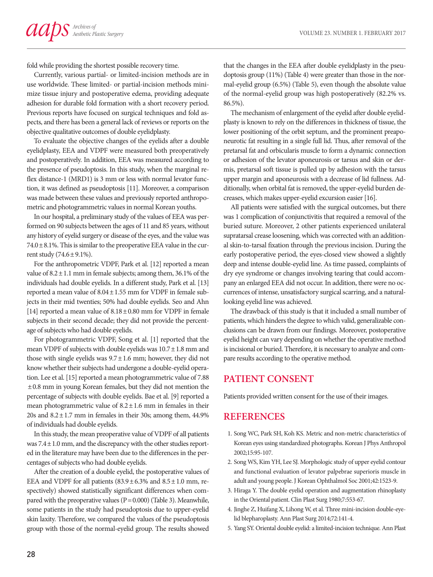fold while providing the shortest possible recovery time.

Currently, various partial- or limited-incision methods are in use worldwide. These limited- or partial-incision methods minimize tissue injury and postoperative edema, providing adequate adhesion for durable fold formation with a short recovery period. Previous reports have focused on surgical techniques and fold aspects, and there has been a general lack of reviews or reports on the objective qualitative outcomes of double eyelidplasty.

To evaluate the objective changes of the eyelids after a double eyelidplasty, EEA and VDPF were measured both preoperatively and postoperatively. In addition, EEA was measured according to the presence of pseudoptosis. In this study, when the marginal reflex distance-1 (MRD1) is 3 mm or less with normal levator function, it was defined as pseudoptosis [11]. Moreover, a comparison was made between these values and previously reported anthropometric and photogrammetric values in normal Korean youths.

In our hospital, a preliminary study of the values of EEA was performed on 90 subjects between the ages of 11 and 85 years, without any history of eyelid surgery or disease of the eyes, and the value was  $74.0 \pm 8.1$ %. This is similar to the preoperative EEA value in the current study  $(74.6 \pm 9.1\%)$ .

For the anthropometric VDPF, Park et al. [12] reported a mean value of  $8.2 \pm 1.1$  mm in female subjects; among them, 36.1% of the individuals had double eyelids. In a different study, Park et al. [13] reported a mean value of 8.04±1.55 mm for VDPF in female subjects in their mid twenties; 50% had double eyelids. Seo and Ahn [14] reported a mean value of 8.18±0.80 mm for VDPF in female subjects in their second decade; they did not provide the percentage of subjects who had double eyelids.

For photogrammetric VDPF, Song et al. [1] reported that the mean VDPF of subjects with double eyelids was  $10.7 \pm 1.8$  mm and those with single eyelids was  $9.7 \pm 1.6$  mm; however, they did not know whether their subjects had undergone a double-eyelid operation. Lee et al. [15] reported a mean photogrammetric value of 7.88 ±0.8 mm in young Korean females, but they did not mention the percentage of subjects with double eyelids. Bae et al. [9] reported a mean photogrammetric value of  $8.2 \pm 1.6$  mm in females in their 20s and  $8.2 \pm 1.7$  mm in females in their 30s; among them, 44.9% of individuals had double eyelids.

In this study, the mean preoperative value of VDPF of all patients was 7.4±1.0 mm, and the discrepancy with the other studies reported in the literature may have been due to the differences in the percentages of subjects who had double eyelids.

After the creation of a double eyelid, the postoperative values of EEA and VDPF for all patients  $(83.9 \pm 6.3\%$  and  $8.5 \pm 1.0$  mm, respectively) showed statistically significant differences when compared with the preoperative values  $(P=0.000)$  (Table 3). Meanwhile, some patients in the study had pseudoptosis due to upper-eyelid skin laxity. Therefore, we compared the values of the pseudoptosis group with those of the normal-eyelid group. The results showed

that the changes in the EEA after double eyelidplasty in the pseudoptosis group (11%) (Table 4) were greater than those in the normal-eyelid group (6.5%) (Table 5), even though the absolute value of the normal-eyelid group was high postoperatively (82.2% vs. 86.5%).

The mechanism of enlargement of the eyelid after double eyelidplasty is known to rely on the differences in thickness of tissue, the lower positioning of the orbit septum, and the prominent preaponeurotic fat resulting in a single full lid. Thus, after removal of the pretarsal fat and orbicularis muscle to form a dynamic connection or adhesion of the levator aponeurosis or tarsus and skin or dermis, pretarsal soft tissue is pulled up by adhesion with the tarsus upper margin and aponeurosis with a decrease of lid fullness. Additionally, when orbital fat is removed, the upper-eyelid burden decreases, which makes upper-eyelid excursion easier [16].

All patients were satisfied with the surgical outcomes, but there was 1 complication of conjunctivitis that required a removal of the buried suture. Moreover, 2 other patients experienced unilateral supratarsal crease loosening, which was corrected with an additional skin-to-tarsal fixation through the previous incision. During the early postoperative period, the eyes-closed view showed a slightly deep and intense double-eyelid line. As time passed, complaints of dry eye syndrome or changes involving tearing that could accompany an enlarged EEA did not occur. In addition, there were no occurrences of intense, unsatisfactory surgical scarring, and a naturallooking eyelid line was achieved.

The drawback of this study is that it included a small number of patients, which hinders the degree to which valid, generalizable conclusions can be drawn from our findings. Moreover, postoperative eyelid height can vary depending on whether the operative method is incisional or buried. Therefore, it is necessary to analyze and compare results according to the operative method.

## **PATIENT CONSENT**

Patients provided written consent for the use of their images.

## **REFERENCES**

- 1. Song WC, Park SH, Koh KS. Metric and non-metric characteristics of Korean eyes using standardized photographs. Korean J Phys Anthropol 2002;15:95-107.
- 2. Song WS, Kim YH, Lee SJ. Morphologic study of upper eyelid contour and functional evaluation of levator palpebrae superioris muscle in adult and young people. J Korean Ophthalmol Soc 2001;42:1523-9.
- 3. Hiraga Y. The double eyelid operation and augmentation rhinoplasty in the Oriental patient. Clin Plast Surg 1980;7:553-67.
- 4. Jinghe Z, Huifang X, Lihong W, et al. Three mini-incision double-eyelid blepharoplasty. Ann Plast Surg 2014;72:141-4.
- 5. Yang SY. Oriental double eyelid: a limited-incision technique. Ann Plast